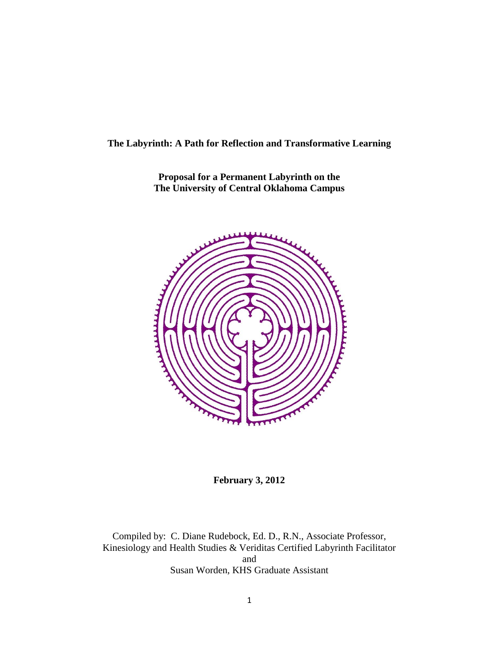### **The Labyrinth: A Path for Reflection and Transformative Learning**

**Proposal for a Permanent Labyrinth on the The University of Central Oklahoma Campus**



**February 3, 2012**

Compiled by: C. Diane Rudebock, Ed. D., R.N., Associate Professor, Kinesiology and Health Studies & Veriditas Certified Labyrinth Facilitator and Susan Worden, KHS Graduate Assistant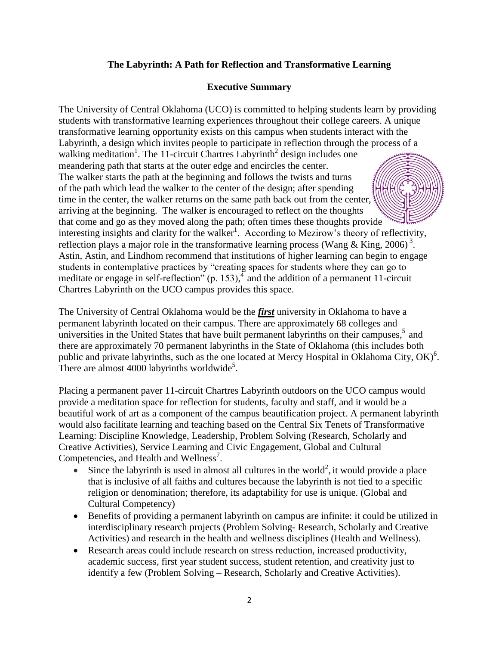## **The Labyrinth: A Path for Reflection and Transformative Learning**

### **Executive Summary**

The University of Central Oklahoma (UCO) is committed to helping students learn by providing students with transformative learning experiences throughout their college careers. A unique transformative learning opportunity exists on this campus when students interact with the Labyrinth, a design which invites people to participate in reflection through the process of a walking meditation<sup>1</sup>. The 11-circuit Chartres Labyrinth<sup>2</sup> design includes one meandering path that starts at the outer edge and encircles the center. The walker starts the path at the beginning and follows the twists and turns of the path which lead the walker to the center of the design; after spending time in the center, the walker returns on the same path back out from the center, arriving at the beginning. The walker is encouraged to reflect on the thoughts that come and go as they moved along the path; often times these thoughts provide interesting insights and clarity for the walker<sup>1</sup>. According to Mezirow's theory of reflectivity, reflection plays a major role in the transformative learning process (Wang & King, 2006)<sup>3</sup>. Astin, Astin, and Lindhom recommend that institutions of higher learning can begin to engage students in contemplative practices by "creating spaces for students where they can go to meditate or engage in self-reflection" (p. 153),  $\frac{4}{3}$  and the addition of a permanent 11-circuit Chartres Labyrinth on the UCO campus provides this space.

The University of Central Oklahoma would be the *first* university in Oklahoma to have a permanent labyrinth located on their campus. There are approximately 68 colleges and universities in the United States that have built permanent labyrinths on their campuses,<sup>5</sup> and there are approximately 70 permanent labyrinths in the State of Oklahoma (this includes both public and private labyrinths, such as the one located at Mercy Hospital in Oklahoma City,  $OK)^6$ . There are almost  $4000$  labyrinths worldwide<sup>5</sup>.

Placing a permanent paver 11-circuit Chartres Labyrinth outdoors on the UCO campus would provide a meditation space for reflection for students, faculty and staff, and it would be a beautiful work of art as a component of the campus beautification project. A permanent labyrinth would also facilitate learning and teaching based on the Central Six Tenets of Transformative Learning: Discipline Knowledge, Leadership, Problem Solving (Research, Scholarly and Creative Activities), Service Learning and Civic Engagement, Global and Cultural Competencies, and Health and Wellness<sup>7</sup>.

- Since the labyrinth is used in almost all cultures in the world<sup>2</sup>, it would provide a place that is inclusive of all faiths and cultures because the labyrinth is not tied to a specific religion or denomination; therefore, its adaptability for use is unique. (Global and Cultural Competency)
- Benefits of providing a permanent labyrinth on campus are infinite: it could be utilized in interdisciplinary research projects (Problem Solving- Research, Scholarly and Creative Activities) and research in the health and wellness disciplines (Health and Wellness).
- Research areas could include research on stress reduction, increased productivity, academic success, first year student success, student retention, and creativity just to identify a few (Problem Solving – Research, Scholarly and Creative Activities).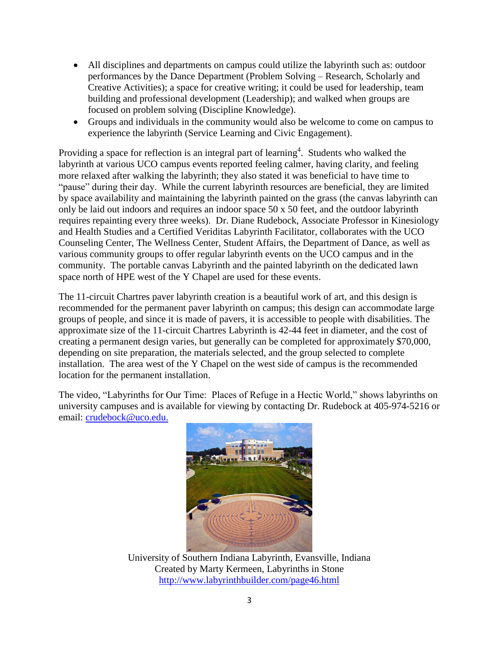- All disciplines and departments on campus could utilize the labyrinth such as: outdoor performances by the Dance Department (Problem Solving – Research, Scholarly and Creative Activities); a space for creative writing; it could be used for leadership, team building and professional development (Leadership); and walked when groups are focused on problem solving (Discipline Knowledge).
- Groups and individuals in the community would also be welcome to come on campus to experience the labyrinth (Service Learning and Civic Engagement).

Providing a space for reflection is an integral part of learning<sup>4</sup>. Students who walked the labyrinth at various UCO campus events reported feeling calmer, having clarity, and feeling more relaxed after walking the labyrinth; they also stated it was beneficial to have time to "pause" during their day. While the current labyrinth resources are beneficial, they are limited by space availability and maintaining the labyrinth painted on the grass (the canvas labyrinth can only be laid out indoors and requires an indoor space 50 x 50 feet, and the outdoor labyrinth requires repainting every three weeks). Dr. Diane Rudebock, Associate Professor in Kinesiology and Health Studies and a Certified Veriditas Labyrinth Facilitator, collaborates with the UCO Counseling Center, The Wellness Center, Student Affairs, the Department of Dance, as well as various community groups to offer regular labyrinth events on the UCO campus and in the community. The portable canvas Labyrinth and the painted labyrinth on the dedicated lawn space north of HPE west of the Y Chapel are used for these events.

The 11-circuit Chartres paver labyrinth creation is a beautiful work of art, and this design is recommended for the permanent paver labyrinth on campus; this design can accommodate large groups of people, and since it is made of pavers, it is accessible to people with disabilities. The approximate size of the 11-circuit Chartres Labyrinth is 42-44 feet in diameter, and the cost of creating a permanent design varies, but generally can be completed for approximately \$70,000, depending on site preparation, the materials selected, and the group selected to complete installation. The area west of the Y Chapel on the west side of campus is the recommended location for the permanent installation.

The video, "Labyrinths for Our Time: Places of Refuge in a Hectic World," shows labyrinths on university campuses and is available for viewing by contacting Dr. Rudebock at 405-974-5216 or email: [crudebock@uco.edu.](mailto:crudebock@uco.edu)



University of Southern Indiana Labyrinth, Evansville, Indiana Created by Marty Kermeen, Labyrinths in Stone <http://www.labyrinthbuilder.com/page46.html>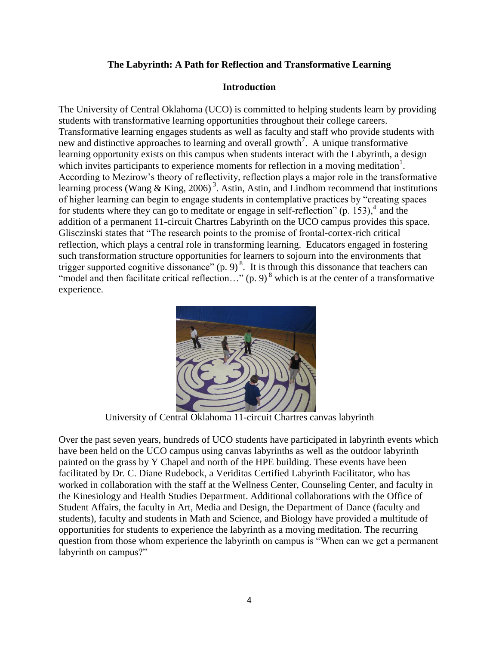### **The Labyrinth: A Path for Reflection and Transformative Learning**

#### **Introduction**

The University of Central Oklahoma (UCO) is committed to helping students learn by providing students with transformative learning opportunities throughout their college careers. Transformative learning engages students as well as faculty and staff who provide students with new and distinctive approaches to learning and overall growth<sup>7</sup>. A unique transformative learning opportunity exists on this campus when students interact with the Labyrinth, a design which invites participants to experience moments for reflection in a moving meditation<sup>1</sup>. According to Mezirow's theory of reflectivity, reflection plays a major role in the transformative learning process (Wang & King, 2006)<sup>3</sup>. Astin, Astin, and Lindhom recommend that institutions of higher learning can begin to engage students in contemplative practices by "creating spaces for students where they can go to meditate or engage in self-reflection"  $(p. 153)$ ,  $4$  and the addition of a permanent 11-circuit Chartres Labyrinth on the UCO campus provides this space. Glisczinski states that "The research points to the promise of frontal-cortex-rich critical reflection, which plays a central role in transforming learning. Educators engaged in fostering such transformation structure opportunities for learners to sojourn into the environments that trigger supported cognitive dissonance"  $(p, 9)^8$ . It is through this dissonance that teachers can "model and then facilitate critical reflection..." (p. 9)<sup>8</sup> which is at the center of a transformative experience.



University of Central Oklahoma 11-circuit Chartres canvas labyrinth

Over the past seven years, hundreds of UCO students have participated in labyrinth events which have been held on the UCO campus using canvas labyrinths as well as the outdoor labyrinth painted on the grass by Y Chapel and north of the HPE building. These events have been facilitated by Dr. C. Diane Rudebock, a Veriditas Certified Labyrinth Facilitator, who has worked in collaboration with the staff at the Wellness Center, Counseling Center, and faculty in the Kinesiology and Health Studies Department. Additional collaborations with the Office of Student Affairs, the faculty in Art, Media and Design, the Department of Dance (faculty and students), faculty and students in Math and Science, and Biology have provided a multitude of opportunities for students to experience the labyrinth as a moving meditation. The recurring question from those whom experience the labyrinth on campus is "When can we get a permanent labyrinth on campus?"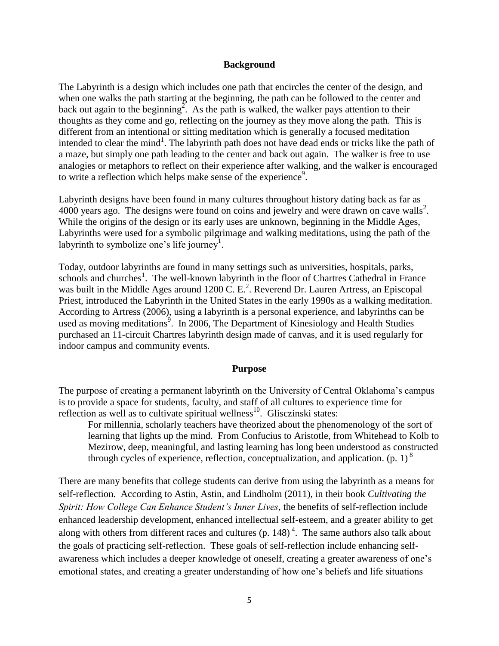#### **Background**

The Labyrinth is a design which includes one path that encircles the center of the design, and when one walks the path starting at the beginning, the path can be followed to the center and back out again to the beginning<sup>2</sup>. As the path is walked, the walker pays attention to their thoughts as they come and go, reflecting on the journey as they move along the path. This is different from an intentional or sitting meditation which is generally a focused meditation intended to clear the mind<sup>1</sup>. The labyrinth path does not have dead ends or tricks like the path of a maze, but simply one path leading to the center and back out again. The walker is free to use analogies or metaphors to reflect on their experience after walking, and the walker is encouraged to write a reflection which helps make sense of the experience<sup>9</sup>.

Labyrinth designs have been found in many cultures throughout history dating back as far as  $4000$  years ago. The designs were found on coins and jewelry and were drawn on cave walls<sup>2</sup>. While the origins of the design or its early uses are unknown, beginning in the Middle Ages, Labyrinths were used for a symbolic pilgrimage and walking meditations, using the path of the labyrinth to symbolize one's life journey<sup>1</sup>.

Today, outdoor labyrinths are found in many settings such as universities, hospitals, parks, schools and churches<sup>1</sup>. The well-known labyrinth in the floor of Chartres Cathedral in France was built in the Middle Ages around 1200 C. E.<sup>2</sup>. Reverend Dr. Lauren Artress, an Episcopal Priest, introduced the Labyrinth in the United States in the early 1990s as a walking meditation. According to Artress (2006), using a labyrinth is a personal experience, and labyrinths can be used as moving meditations<sup>9</sup>. In 2006, The Department of Kinesiology and Health Studies purchased an 11-circuit Chartres labyrinth design made of canvas, and it is used regularly for indoor campus and community events.

#### **Purpose**

The purpose of creating a permanent labyrinth on the University of Central Oklahoma's campus is to provide a space for students, faculty, and staff of all cultures to experience time for reflection as well as to cultivate spiritual wellness<sup>10</sup>. Glisczinski states:

For millennia, scholarly teachers have theorized about the phenomenology of the sort of learning that lights up the mind. From Confucius to Aristotle, from Whitehead to Kolb to Mezirow, deep, meaningful, and lasting learning has long been understood as constructed through cycles of experience, reflection, conceptualization, and application. (p. 1)<sup>8</sup>

There are many benefits that college students can derive from using the labyrinth as a means for self-reflection. According to Astin, Astin, and Lindholm (2011), in their book *Cultivating the Spirit: How College Can Enhance Student's Inner Lives*, the benefits of self-reflection include enhanced leadership development, enhanced intellectual self-esteem, and a greater ability to get along with others from different races and cultures (p.  $148$ )<sup>4</sup>. The same authors also talk about the goals of practicing self-reflection. These goals of self-reflection include enhancing selfawareness which includes a deeper knowledge of oneself, creating a greater awareness of one's emotional states, and creating a greater understanding of how one's beliefs and life situations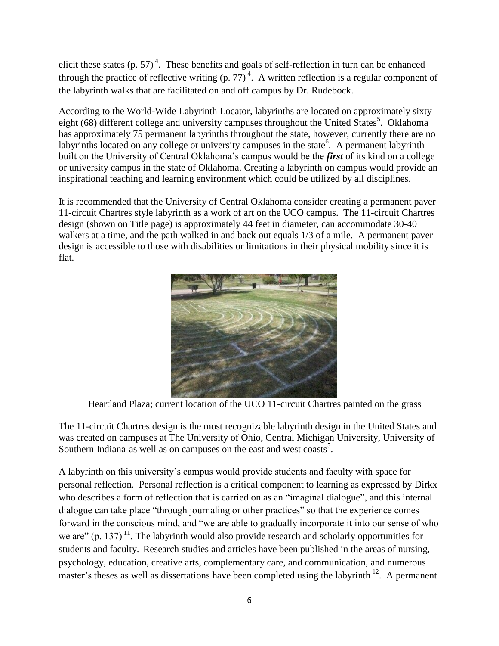elicit these states (p. 57)<sup>4</sup>. These benefits and goals of self-reflection in turn can be enhanced through the practice of reflective writing  $(p. 77)^4$ . A written reflection is a regular component of the labyrinth walks that are facilitated on and off campus by Dr. Rudebock.

According to the World-Wide Labyrinth Locator, labyrinths are located on approximately sixty eight (68) different college and university campuses throughout the United States<sup>5</sup>. Oklahoma has approximately 75 permanent labyrinths throughout the state, however, currently there are no labyrinths located on any college or university campuses in the state<sup>6</sup>. A permanent labyrinth built on the University of Central Oklahoma's campus would be the *first* of its kind on a college or university campus in the state of Oklahoma. Creating a labyrinth on campus would provide an inspirational teaching and learning environment which could be utilized by all disciplines.

It is recommended that the University of Central Oklahoma consider creating a permanent paver 11-circuit Chartres style labyrinth as a work of art on the UCO campus. The 11-circuit Chartres design (shown on Title page) is approximately 44 feet in diameter, can accommodate 30-40 walkers at a time, and the path walked in and back out equals 1/3 of a mile. A permanent paver design is accessible to those with disabilities or limitations in their physical mobility since it is flat.



Heartland Plaza; current location of the UCO 11-circuit Chartres painted on the grass

The 11-circuit Chartres design is the most recognizable labyrinth design in the United States and was created on campuses at The University of Ohio, Central Michigan University, University of Southern Indiana as well as on campuses on the east and west coasts<sup>5</sup>.

A labyrinth on this university's campus would provide students and faculty with space for personal reflection. Personal reflection is a critical component to learning as expressed by Dirkx who describes a form of reflection that is carried on as an "imaginal dialogue", and this internal dialogue can take place "through journaling or other practices" so that the experience comes forward in the conscious mind, and "we are able to gradually incorporate it into our sense of who we are" (p. 137)<sup>11</sup>. The labyrinth would also provide research and scholarly opportunities for students and faculty. Research studies and articles have been published in the areas of nursing, psychology, education, creative arts, complementary care, and communication, and numerous master's theses as well as dissertations have been completed using the labyrinth  $12$ . A permanent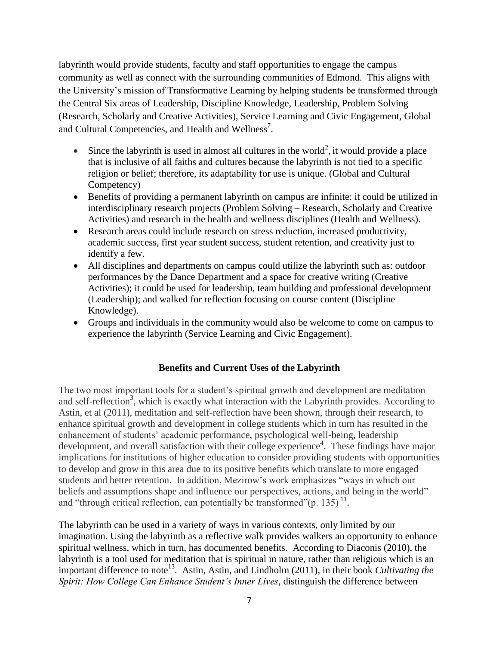labyrinth would provide students, faculty and staff opportunities to engage the campus community as well as connect with the surrounding communities of Edmond. This aligns with the University's mission of Transformative Learning by helping students be transformed through the Central Six areas of Leadership, Discipline Knowledge, Leadership, Problem Solving (Research, Scholarly and Creative Activities), Service Learning and Civic Engagement, Global and Cultural Competencies, and Health and Wellness<sup>7</sup>.

- Since the labyrinth is used in almost all cultures in the world<sup>2</sup>, it would provide a place that is inclusive of all faiths and cultures because the labyrinth is not tied to a specific religion or belief; therefore, its adaptability for use is unique. (Global and Cultural Competency)
- Benefits of providing a permanent labyrinth on campus are infinite: it could be utilized in interdisciplinary research projects (Problem Solving – Research, Scholarly and Creative Activities) and research in the health and wellness disciplines (Health and Wellness).
- Research areas could include research on stress reduction, increased productivity, academic success, first year student success, student retention, and creativity just to identify a few.
- All disciplines and departments on campus could utilize the labyrinth such as: outdoor performances by the Dance Department and a space for creative writing (Creative Activities); it could be used for leadership, team building and professional development (Leadership); and walked for reflection focusing on course content (Discipline Knowledge).
- Groups and individuals in the community would also be welcome to come on campus to experience the labyrinth (Service Learning and Civic Engagement).

## **Benefits and Current Uses of the Labyrinth**

The two most important tools for a student's spiritual growth and development are meditation and self-reflection<sup>3</sup>, which is exactly what interaction with the Labyrinth provides. According to Astin, et al (2011), meditation and self-reflection have been shown, through their research, to enhance spiritual growth and development in college students which in turn has resulted in the enhancement of students' academic performance, psychological well-being, leadership development, and overall satisfaction with their college experience<sup>4</sup>. These findings have major implications for institutions of higher education to consider providing students with opportunities to develop and grow in this area due to its positive benefits which translate to more engaged students and better retention. In addition, Mezirow's work emphasizes "ways in which our beliefs and assumptions shape and influence our perspectives, actions, and being in the world" and "through critical reflection, can potentially be transformed" $(p. 135)^{11}$ .

The labyrinth can be used in a variety of ways in various contexts, only limited by our imagination. Using the labyrinth as a reflective walk provides walkers an opportunity to enhance spiritual wellness, which in turn, has documented benefits. According to Diaconis (2010), the labyrinth is a tool used for meditation that is spiritual in nature, rather than religious which is an important difference to note<sup>13</sup>. Astin, Astin, and Lindholm (2011), in their book *Cultivating the Spirit: How College Can Enhance Student's Inner Lives*, distinguish the difference between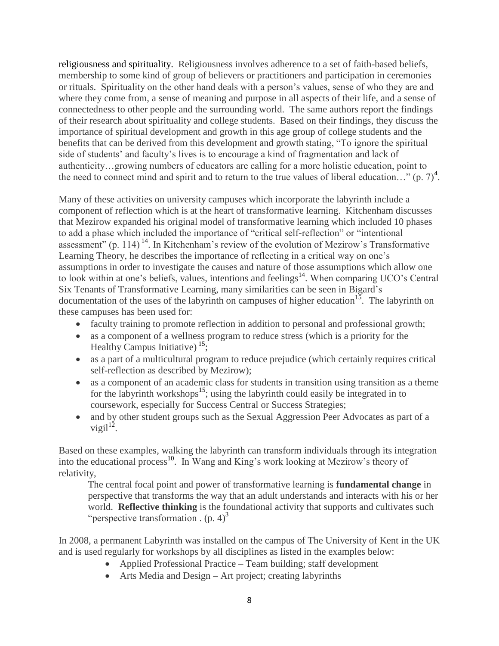religiousness and spirituality. Religiousness involves adherence to a set of faith-based beliefs, membership to some kind of group of believers or practitioners and participation in ceremonies or rituals. Spirituality on the other hand deals with a person's values, sense of who they are and where they come from, a sense of meaning and purpose in all aspects of their life, and a sense of connectedness to other people and the surrounding world. The same authors report the findings of their research about spirituality and college students. Based on their findings, they discuss the importance of spiritual development and growth in this age group of college students and the benefits that can be derived from this development and growth stating, "To ignore the spiritual side of students' and faculty's lives is to encourage a kind of fragmentation and lack of authenticity…growing numbers of educators are calling for a more holistic education, point to the need to connect mind and spirit and to return to the true values of liberal education..." (p. 7)<sup>4</sup>.

Many of these activities on university campuses which incorporate the labyrinth include a component of reflection which is at the heart of transformative learning. Kitchenham discusses that Mezirow expanded his original model of transformative learning which included 10 phases to add a phase which included the importance of "critical self-reflection" or "intentional assessment" (p. 114)<sup>14</sup>. In Kitchenham's review of the evolution of Mezirow's Transformative Learning Theory, he describes the importance of reflecting in a critical way on one's assumptions in order to investigate the causes and nature of those assumptions which allow one to look within at one's beliefs, values, intentions and feelings<sup>14</sup>. When comparing UCO's Central Six Tenants of Transformative Learning, many similarities can be seen in Bigard's documentation of the uses of the labyrinth on campuses of higher education<sup>15</sup>. The labyrinth on these campuses has been used for:

- faculty training to promote reflection in addition to personal and professional growth;
- as a component of a wellness program to reduce stress (which is a priority for the Healthy Campus Initiative)<sup>15</sup>;
- as a part of a multicultural program to reduce prejudice (which certainly requires critical self-reflection as described by Mezirow);
- as a component of an academic class for students in transition using transition as a theme for the labyrinth workshops<sup>15</sup>; using the labyrinth could easily be integrated in to coursework, especially for Success Central or Success Strategies;
- and by other student groups such as the Sexual Aggression Peer Advocates as part of a vigil $1^2$ .

Based on these examples, walking the labyrinth can transform individuals through its integration into the educational process<sup>10</sup>. In Wang and King's work looking at Mezirow's theory of relativity,

The central focal point and power of transformative learning is **fundamental change** in perspective that transforms the way that an adult understands and interacts with his or her world. **Reflective thinking** is the foundational activity that supports and cultivates such "perspective transformation  $($ p. 4 $)^3$ 

In 2008, a permanent Labyrinth was installed on the campus of The University of Kent in the UK and is used regularly for workshops by all disciplines as listed in the examples below:

- Applied Professional Practice Team building; staff development
- Arts Media and Design Art project; creating labyrinths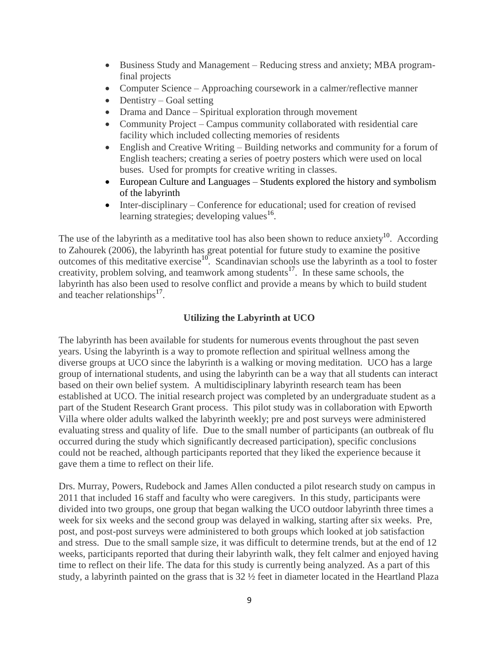- Business Study and Management Reducing stress and anxiety; MBA programfinal projects
- Computer Science Approaching coursework in a calmer/reflective manner
- $\bullet$  Dentistry Goal setting
- Drama and Dance Spiritual exploration through movement
- Community Project Campus community collaborated with residential care facility which included collecting memories of residents
- English and Creative Writing Building networks and community for a forum of English teachers; creating a series of poetry posters which were used on local buses. Used for prompts for creative writing in classes.
- European Culture and Languages Students explored the history and symbolism of the labyrinth
- Inter-disciplinary Conference for educational; used for creation of revised learning strategies; developing values $^{16}$ .

The use of the labyrinth as a meditative tool has also been shown to reduce anxiety $10$ . According to Zahourek (2006), the labyrinth has great potential for future study to examine the positive outcomes of this meditative exercise<sup>10</sup>. Scandinavian schools use the labyrinth as a tool to foster creativity, problem solving, and teamwork among students<sup>17</sup>. In these same schools, the labyrinth has also been used to resolve conflict and provide a means by which to build student and teacher relationships<sup>17</sup>.

# **Utilizing the Labyrinth at UCO**

The labyrinth has been available for students for numerous events throughout the past seven years. Using the labyrinth is a way to promote reflection and spiritual wellness among the diverse groups at UCO since the labyrinth is a walking or moving meditation. UCO has a large group of international students, and using the labyrinth can be a way that all students can interact based on their own belief system. A multidisciplinary labyrinth research team has been established at UCO. The initial research project was completed by an undergraduate student as a part of the Student Research Grant process. This pilot study was in collaboration with Epworth Villa where older adults walked the labyrinth weekly; pre and post surveys were administered evaluating stress and quality of life. Due to the small number of participants (an outbreak of flu occurred during the study which significantly decreased participation), specific conclusions could not be reached, although participants reported that they liked the experience because it gave them a time to reflect on their life.

Drs. Murray, Powers, Rudebock and James Allen conducted a pilot research study on campus in 2011 that included 16 staff and faculty who were caregivers. In this study, participants were divided into two groups, one group that began walking the UCO outdoor labyrinth three times a week for six weeks and the second group was delayed in walking, starting after six weeks. Pre, post, and post-post surveys were administered to both groups which looked at job satisfaction and stress. Due to the small sample size, it was difficult to determine trends, but at the end of 12 weeks, participants reported that during their labyrinth walk, they felt calmer and enjoyed having time to reflect on their life. The data for this study is currently being analyzed. As a part of this study, a labyrinth painted on the grass that is 32 ½ feet in diameter located in the Heartland Plaza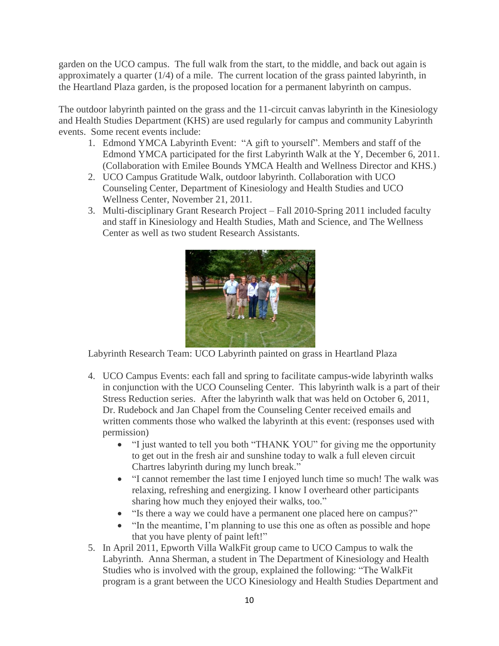garden on the UCO campus. The full walk from the start, to the middle, and back out again is approximately a quarter (1/4) of a mile. The current location of the grass painted labyrinth, in the Heartland Plaza garden, is the proposed location for a permanent labyrinth on campus.

The outdoor labyrinth painted on the grass and the 11-circuit canvas labyrinth in the Kinesiology and Health Studies Department (KHS) are used regularly for campus and community Labyrinth events. Some recent events include:

- 1. Edmond YMCA Labyrinth Event: "A gift to yourself". Members and staff of the Edmond YMCA participated for the first Labyrinth Walk at the Y, December 6, 2011. (Collaboration with Emilee Bounds YMCA Health and Wellness Director and KHS.)
- 2. UCO Campus Gratitude Walk, outdoor labyrinth. Collaboration with UCO Counseling Center, Department of Kinesiology and Health Studies and UCO Wellness Center, November 21, 2011.
- 3. Multi-disciplinary Grant Research Project Fall 2010-Spring 2011 included faculty and staff in Kinesiology and Health Studies, Math and Science, and The Wellness Center as well as two student Research Assistants.



Labyrinth Research Team: UCO Labyrinth painted on grass in Heartland Plaza

- 4. UCO Campus Events: each fall and spring to facilitate campus-wide labyrinth walks in conjunction with the UCO Counseling Center. This labyrinth walk is a part of their Stress Reduction series. After the labyrinth walk that was held on October 6, 2011, Dr. Rudebock and Jan Chapel from the Counseling Center received emails and written comments those who walked the labyrinth at this event: (responses used with permission)
	- "I just wanted to tell you both "THANK YOU" for giving me the opportunity to get out in the fresh air and sunshine today to walk a full eleven circuit Chartres labyrinth during my lunch break."
	- "I cannot remember the last time I enjoyed lunch time so much! The walk was relaxing, refreshing and energizing. I know I overheard other participants sharing how much they enjoyed their walks, too."
	- "Is there a way we could have a permanent one placed here on campus?"
	- "In the meantime, I'm planning to use this one as often as possible and hope that you have plenty of paint left!"
- 5. In April 2011, Epworth Villa WalkFit group came to UCO Campus to walk the Labyrinth. Anna Sherman, a student in The Department of Kinesiology and Health Studies who is involved with the group, explained the following: "The WalkFit program is a grant between the UCO Kinesiology and Health Studies Department and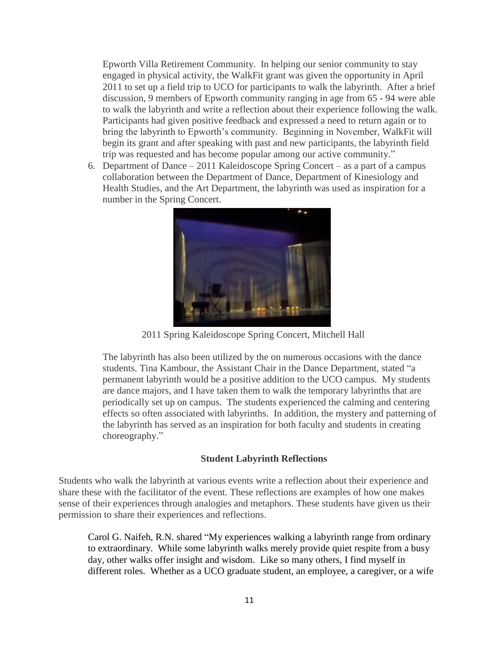Epworth Villa Retirement Community. In helping our senior community to stay engaged in physical activity, the WalkFit grant was given the opportunity in April 2011 to set up a field trip to UCO for participants to walk the labyrinth. After a brief discussion, 9 members of Epworth community ranging in age from 65 - 94 were able to walk the labyrinth and write a reflection about their experience following the walk. Participants had given positive feedback and expressed a need to return again or to bring the labyrinth to Epworth's community. Beginning in November, WalkFit will begin its grant and after speaking with past and new participants, the labyrinth field trip was requested and has become popular among our active community."

6. Department of Dance – 2011 Kaleidoscope Spring Concert – as a part of a campus collaboration between the Department of Dance, Department of Kinesiology and Health Studies, and the Art Department, the labyrinth was used as inspiration for a number in the Spring Concert.



2011 Spring Kaleidoscope Spring Concert, Mitchell Hall

The labyrinth has also been utilized by the on numerous occasions with the dance students. Tina Kambour, the Assistant Chair in the Dance Department, stated "a permanent labyrinth would be a positive addition to the UCO campus. My students are dance majors, and I have taken them to walk the temporary labyrinths that are periodically set up on campus. The students experienced the calming and centering effects so often associated with labyrinths. In addition, the mystery and patterning of the labyrinth has served as an inspiration for both faculty and students in creating choreography."

### **Student Labyrinth Reflections**

Students who walk the labyrinth at various events write a reflection about their experience and share these with the facilitator of the event. These reflections are examples of how one makes sense of their experiences through analogies and metaphors. These students have given us their permission to share their experiences and reflections.

Carol G. Naifeh, R.N. shared "My experiences walking a labyrinth range from ordinary to extraordinary. While some labyrinth walks merely provide quiet respite from a busy day, other walks offer insight and wisdom. Like so many others, I find myself in different roles. Whether as a UCO graduate student, an employee, a caregiver, or a wife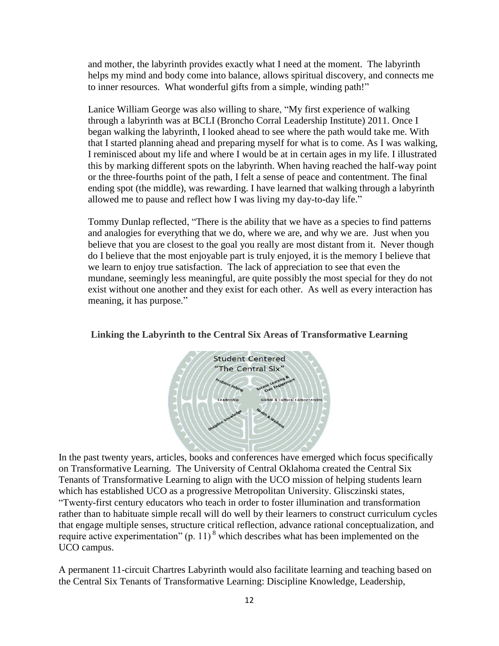and mother, the labyrinth provides exactly what I need at the moment. The labyrinth helps my mind and body come into balance, allows spiritual discovery, and connects me to inner resources. What wonderful gifts from a simple, winding path!"

Lanice William George was also willing to share, "My first experience of walking through a labyrinth was at BCLI (Broncho Corral Leadership Institute) 2011. Once I began walking the labyrinth, I looked ahead to see where the path would take me. With that I started planning ahead and preparing myself for what is to come. As I was walking, I reminisced about my life and where I would be at in certain ages in my life. I illustrated this by marking different spots on the labyrinth. When having reached the half-way point or the three-fourths point of the path, I felt a sense of peace and contentment. The final ending spot (the middle), was rewarding. I have learned that walking through a labyrinth allowed me to pause and reflect how I was living my day-to-day life."

Tommy Dunlap reflected, "There is the ability that we have as a species to find patterns and analogies for everything that we do, where we are, and why we are. Just when you believe that you are closest to the goal you really are most distant from it. Never though do I believe that the most enjoyable part is truly enjoyed, it is the memory I believe that we learn to enjoy true satisfaction. The lack of appreciation to see that even the mundane, seemingly less meaningful, are quite possibly the most special for they do not exist without one another and they exist for each other. As well as every interaction has meaning, it has purpose."





In the past twenty years, articles, books and conferences have emerged which focus specifically on Transformative Learning. The University of Central Oklahoma created the Central Six Tenants of Transformative Learning to align with the UCO mission of helping students learn which has established UCO as a progressive Metropolitan University. Glisczinski states, "Twenty-first century educators who teach in order to foster illumination and transformation rather than to habituate simple recall will do well by their learners to construct curriculum cycles that engage multiple senses, structure critical reflection, advance rational conceptualization, and require active experimentation" (p. 11)<sup>8</sup> which describes what has been implemented on the UCO campus.

A permanent 11-circuit Chartres Labyrinth would also facilitate learning and teaching based on the Central Six Tenants of Transformative Learning: Discipline Knowledge, Leadership,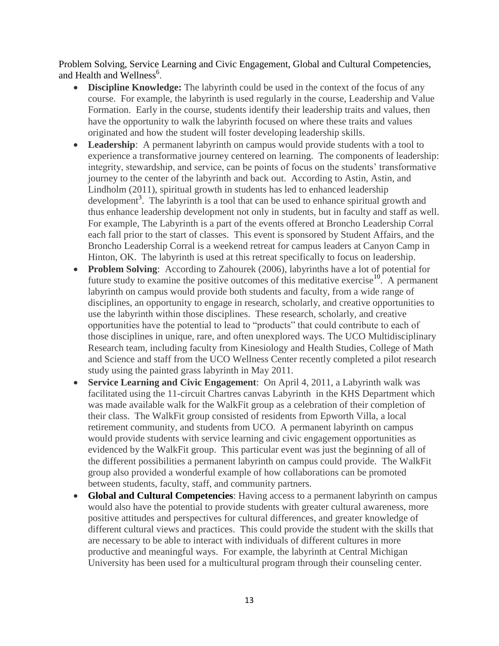Problem Solving, Service Learning and Civic Engagement, Global and Cultural Competencies, and Health and Wellness<sup>6</sup>.

- **Discipline Knowledge:** The labyrinth could be used in the context of the focus of any course. For example, the labyrinth is used regularly in the course, Leadership and Value Formation. Early in the course, students identify their leadership traits and values, then have the opportunity to walk the labyrinth focused on where these traits and values originated and how the student will foster developing leadership skills.
- **Leadership**: A permanent labyrinth on campus would provide students with a tool to experience a transformative journey centered on learning. The components of leadership: integrity, stewardship, and service, can be points of focus on the students' transformative journey to the center of the labyrinth and back out. According to Astin, Astin, and Lindholm (2011), spiritual growth in students has led to enhanced leadership development<sup>3</sup>. The labyrinth is a tool that can be used to enhance spiritual growth and thus enhance leadership development not only in students, but in faculty and staff as well. For example, The Labyrinth is a part of the events offered at Broncho Leadership Corral each fall prior to the start of classes. This event is sponsored by Student Affairs, and the Broncho Leadership Corral is a weekend retreat for campus leaders at Canyon Camp in Hinton, OK. The labyrinth is used at this retreat specifically to focus on leadership.
- **Problem Solving**: According to Zahourek (2006), labyrinths have a lot of potential for future study to examine the positive outcomes of this meditative exercise<sup>10</sup>. A permanent labyrinth on campus would provide both students and faculty, from a wide range of disciplines, an opportunity to engage in research, scholarly, and creative opportunities to use the labyrinth within those disciplines. These research, scholarly, and creative opportunities have the potential to lead to "products" that could contribute to each of those disciplines in unique, rare, and often unexplored ways. The UCO Multidisciplinary Research team, including faculty from Kinesiology and Health Studies, College of Math and Science and staff from the UCO Wellness Center recently completed a pilot research study using the painted grass labyrinth in May 2011.
- **Service Learning and Civic Engagement**: On April 4, 2011, a Labyrinth walk was facilitated using the 11-circuit Chartres canvas Labyrinth in the KHS Department which was made available walk for the WalkFit group as a celebration of their completion of their class. The WalkFit group consisted of residents from Epworth Villa, a local retirement community, and students from UCO. A permanent labyrinth on campus would provide students with service learning and civic engagement opportunities as evidenced by the WalkFit group. This particular event was just the beginning of all of the different possibilities a permanent labyrinth on campus could provide. The WalkFit group also provided a wonderful example of how collaborations can be promoted between students, faculty, staff, and community partners.
- **Global and Cultural Competencies**: Having access to a permanent labyrinth on campus would also have the potential to provide students with greater cultural awareness, more positive attitudes and perspectives for cultural differences, and greater knowledge of different cultural views and practices. This could provide the student with the skills that are necessary to be able to interact with individuals of different cultures in more productive and meaningful ways. For example, the labyrinth at Central Michigan University has been used for a multicultural program through their counseling center.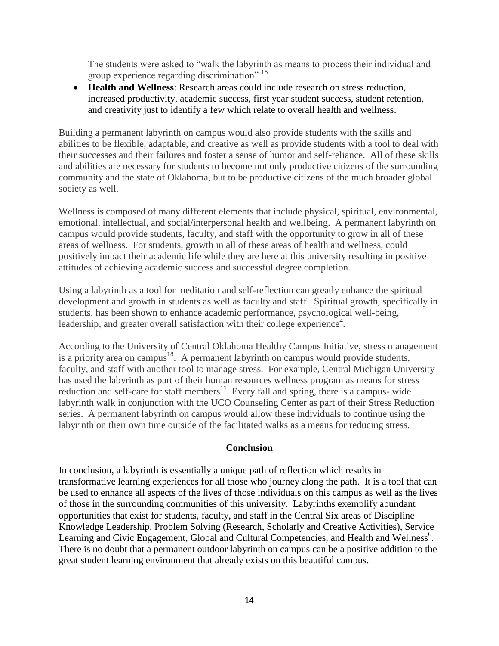The students were asked to "walk the labyrinth as means to process their individual and group experience regarding discrimination" <sup>15</sup>.

 **Health and Wellness**: Research areas could include research on stress reduction, increased productivity, academic success, first year student success, student retention, and creativity just to identify a few which relate to overall health and wellness.

Building a permanent labyrinth on campus would also provide students with the skills and abilities to be flexible, adaptable, and creative as well as provide students with a tool to deal with their successes and their failures and foster a sense of humor and self-reliance. All of these skills and abilities are necessary for students to become not only productive citizens of the surrounding community and the state of Oklahoma, but to be productive citizens of the much broader global society as well.

Wellness is composed of many different elements that include physical, spiritual, environmental, emotional, intellectual, and social/interpersonal health and wellbeing. A permanent labyrinth on campus would provide students, faculty, and staff with the opportunity to grow in all of these areas of wellness. For students, growth in all of these areas of health and wellness, could positively impact their academic life while they are here at this university resulting in positive attitudes of achieving academic success and successful degree completion.

Using a labyrinth as a tool for meditation and self-reflection can greatly enhance the spiritual development and growth in students as well as faculty and staff. Spiritual growth, specifically in students, has been shown to enhance academic performance, psychological well-being, leadership, and greater overall satisfaction with their college experience<sup>4</sup>.

According to the University of Central Oklahoma Healthy Campus Initiative, stress management is a priority area on campus<sup>18</sup>. A permanent labyrinth on campus would provide students, faculty, and staff with another tool to manage stress. For example, Central Michigan University has used the labyrinth as part of their human resources wellness program as means for stress reduction and self-care for staff members $<sup>11</sup>$ . Every fall and spring, there is a campus- wide</sup> labyrinth walk in conjunction with the UCO Counseling Center as part of their Stress Reduction series. A permanent labyrinth on campus would allow these individuals to continue using the labyrinth on their own time outside of the facilitated walks as a means for reducing stress.

### **Conclusion**

In conclusion, a labyrinth is essentially a unique path of reflection which results in transformative learning experiences for all those who journey along the path. It is a tool that can be used to enhance all aspects of the lives of those individuals on this campus as well as the lives of those in the surrounding communities of this university. Labyrinths exemplify abundant opportunities that exist for students, faculty, and staff in the Central Six areas of Discipline Knowledge Leadership, Problem Solving (Research, Scholarly and Creative Activities), Service Learning and Civic Engagement, Global and Cultural Competencies, and Health and Wellness<sup>6</sup>. There is no doubt that a permanent outdoor labyrinth on campus can be a positive addition to the great student learning environment that already exists on this beautiful campus.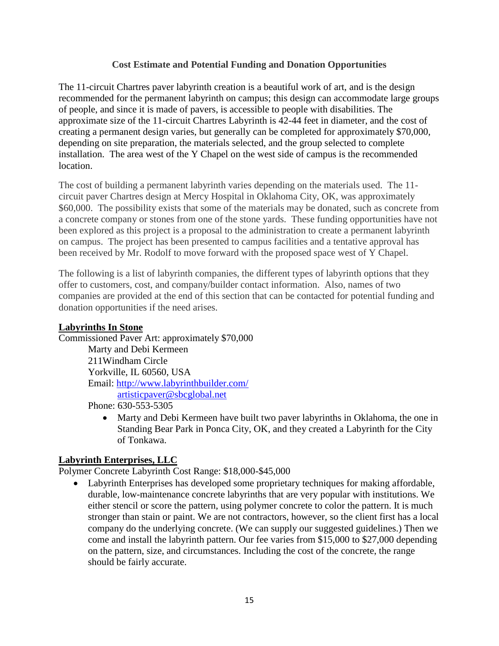### **Cost Estimate and Potential Funding and Donation Opportunities**

The 11-circuit Chartres paver labyrinth creation is a beautiful work of art, and is the design recommended for the permanent labyrinth on campus; this design can accommodate large groups of people, and since it is made of pavers, is accessible to people with disabilities. The approximate size of the 11-circuit Chartres Labyrinth is 42-44 feet in diameter, and the cost of creating a permanent design varies, but generally can be completed for approximately \$70,000, depending on site preparation, the materials selected, and the group selected to complete installation. The area west of the Y Chapel on the west side of campus is the recommended location.

The cost of building a permanent labyrinth varies depending on the materials used. The 11 circuit paver Chartres design at Mercy Hospital in Oklahoma City, OK, was approximately \$60,000. The possibility exists that some of the materials may be donated, such as concrete from a concrete company or stones from one of the stone yards. These funding opportunities have not been explored as this project is a proposal to the administration to create a permanent labyrinth on campus. The project has been presented to campus facilities and a tentative approval has been received by Mr. Rodolf to move forward with the proposed space west of Y Chapel.

The following is a list of labyrinth companies, the different types of labyrinth options that they offer to customers, cost, and company/builder contact information. Also, names of two companies are provided at the end of this section that can be contacted for potential funding and donation opportunities if the need arises.

### **Labyrinths In Stone**

Commissioned Paver Art: approximately \$70,000

Marty and Debi Kermeen 211Windham Circle Yorkville, IL 60560, USA Email:<http://www.labyrinthbuilder.com/> [artisticpaver@sbcglobal.net](mailto:artisticpaver@sbcglobal.net) 

Phone: 630-553-5305

 Marty and Debi Kermeen have built two paver labyrinths in Oklahoma, the one in Standing Bear Park in Ponca City, OK, and they created a Labyrinth for the City of Tonkawa.

## **Labyrinth Enterprises, LLC**

Polymer Concrete Labyrinth Cost Range: \$18,000-\$45,000

 Labyrinth Enterprises has developed some proprietary techniques for making affordable, durable, low-maintenance concrete labyrinths that are very popular with institutions. We either stencil or score the pattern, using polymer concrete to color the pattern. It is much stronger than stain or paint. We are not contractors, however, so the client first has a local company do the underlying concrete. (We can supply our suggested guidelines.) Then we come and install the labyrinth pattern. Our fee varies from \$15,000 to \$27,000 depending on the pattern, size, and circumstances. Including the cost of the concrete, the range should be fairly accurate.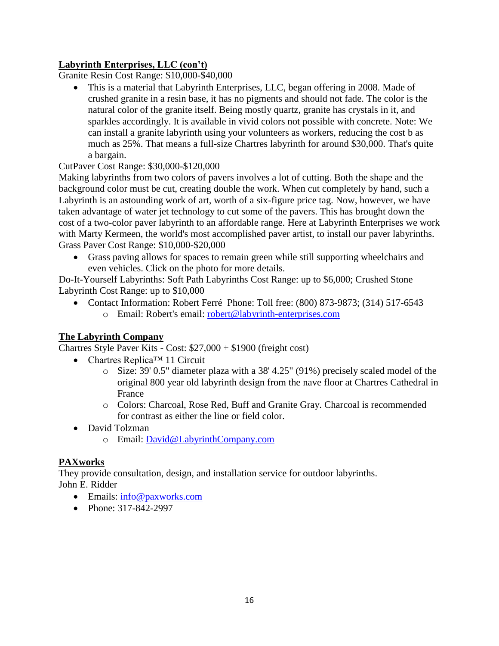# **Labyrinth Enterprises, LLC (con't)**

Granite Resin Cost Range: \$10,000-\$40,000

 This is a material that Labyrinth Enterprises, LLC, began offering in 2008. Made of crushed granite in a resin base, it has no pigments and should not fade. The color is the natural color of the granite itself. Being mostly quartz, granite has crystals in it, and sparkles accordingly. It is available in vivid colors not possible with concrete. Note: We can install a granite labyrinth using your volunteers as workers, reducing the cost b as much as 25%. That means a full-size Chartres labyrinth for around \$30,000. That's quite a bargain.

## CutPaver Cost Range: \$30,000-\$120,000

Making labyrinths from two colors of pavers involves a lot of cutting. Both the shape and the background color must be cut, creating double the work. When cut completely by hand, such a Labyrinth is an astounding work of art, worth of a six-figure price tag. Now, however, we have taken advantage of water jet technology to cut some of the pavers. This has brought down the cost of a two-color paver labyrinth to an affordable range. Here at Labyrinth Enterprises we work with Marty Kermeen, the world's most accomplished paver artist, to install our paver labyrinths. Grass Paver Cost Range: \$10,000-\$20,000

 Grass paving allows for spaces to remain green while still supporting wheelchairs and even vehicles. Click on the photo for more details.

Do-It-Yourself Labyrinths: Soft Path Labyrinths Cost Range: up to \$6,000; Crushed Stone Labyrinth Cost Range: up to \$10,000

• Contact Information: Robert Ferré Phone: Toll free: (800) 873-9873; (314) 517-6543 o Email: Robert's email: [robert@labyrinth-enterprises.com](mailto:robert@labyrinth-enterprises.com)

## **The Labyrinth Company**

Chartres Style Paver Kits - Cost: \$27,000 + \$1900 (freight cost)

- Chartres Replica™ 11 Circuit
	- o Size: 39' 0.5" diameter plaza with a 38' 4.25" (91%) precisely scaled model of the original 800 year old labyrinth design from the nave floor at Chartres Cathedral in France
	- o Colors: Charcoal, Rose Red, Buff and Granite Gray. Charcoal is recommended for contrast as either the line or field color.
- David Tolzman
	- o Email: [David@LabyrinthCompany.com](mailto:David@LabyrinthCompany.com)

## **PAXworks**

They provide consultation, design, and installation service for outdoor labyrinths. John E. Ridder

- Emails: [info@paxworks.com](mailto:info@paxworks.com)
- Phone: 317-842-2997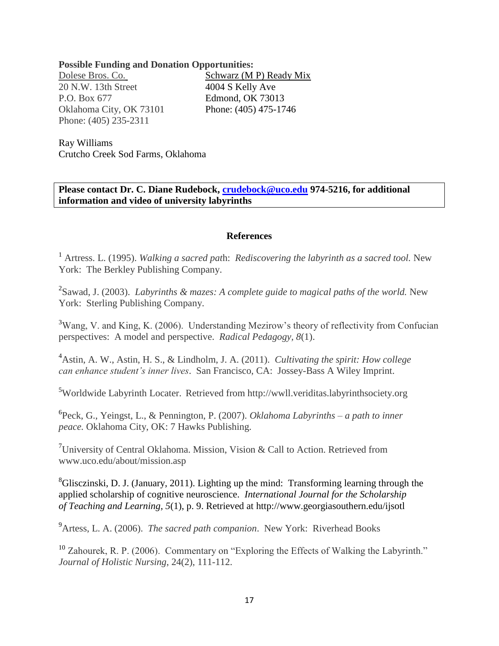**Possible Funding and Donation Opportunities:**

20 N.W. 13th Street 4004 S Kelly Ave P.O. Box 677 Edmond, OK 73013 Oklahoma City, OK 73101 Phone: (405) 475-1746 Phone: (405) 235-2311

Dolese Bros. Co. Schwarz (M P) Ready Mix

Ray Williams Crutcho Creek Sod Farms, Oklahoma

**Please contact Dr. C. Diane Rudebock, [crudebock@uco.edu](mailto:crudebock@uco.edu) 974-5216, for additional information and video of university labyrinths** 

#### **References**

<sup>1</sup> Artress. L. (1995). *Walking a sacred pat*h: *Rediscovering the labyrinth as a sacred tool.* New York: The Berkley Publishing Company.

2 Sawad, J. (2003). *Labyrinths & mazes: A complete guide to magical paths of the world.* New York: Sterling Publishing Company.

<sup>3</sup>Wang, V. and King, K. (2006). Understanding Mezirow's theory of reflectivity from Confucian perspectives: A model and perspective. *Radical Pedagogy, 8*(1). Ĩ

<sup>4</sup>Astin, A. W., Astin, H. S., & Lindholm, J. A. (2011). *Cultivating the spirit: How college can enhance student's inner lives*. San Francisco, CA: Jossey-Bass A Wiley Imprint.

<sup>5</sup>Worldwide Labyrinth Locater. Retrieved from http://wwll.veriditas.labyrinthsociety.org

6 Peck, G., Yeingst, L., & Pennington, P. (2007). *Oklahoma Labyrinths – a path to inner peace.* Oklahoma City, OK: 7 Hawks Publishing.

<sup>7</sup>University of Central Oklahoma. Mission, Vision & Call to Action. Retrieved from www.uco.edu/about/mission.asp

 ${}^{8}$ Glisczinski, D. J. (January, 2011). Lighting up the mind: Transforming learning through the applied scholarship of cognitive neuroscience. *International Journal for the Scholarship of Teaching and Learning, 5*(1), p. 9. Retrieved at http://www.georgiasouthern.edu/ijsotl

<sup>9</sup>Artess, L. A. (2006). *The sacred path companion*. New York: Riverhead Books

<sup>10</sup> Zahourek, R. P. (2006). Commentary on "Exploring the Effects of Walking the Labyrinth." *Journal of Holistic Nursing*, 24(2), 111-112.